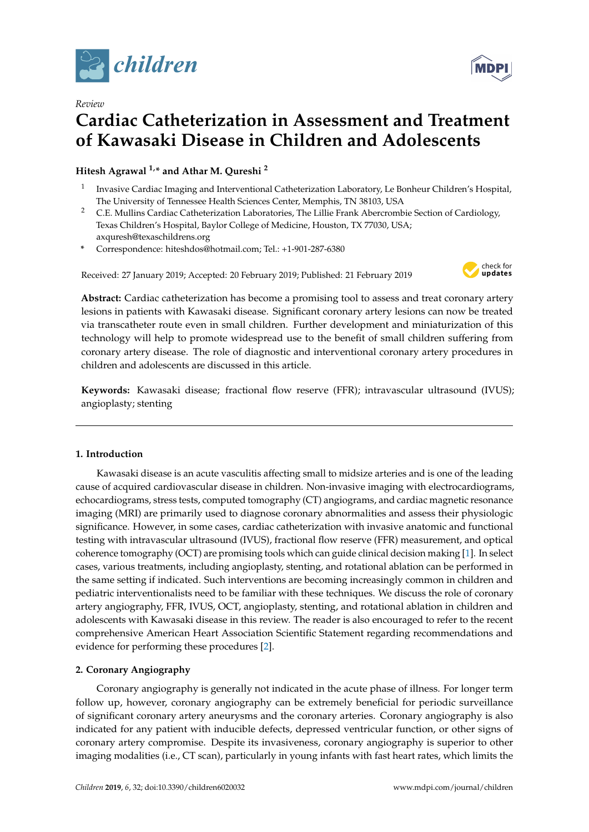

*Review*



# **Cardiac Catheterization in Assessment and Treatment of Kawasaki Disease in Children and Adolescents**

**Hitesh Agrawal 1,\* and Athar M. Qureshi <sup>2</sup>**

- 1 Invasive Cardiac Imaging and Interventional Catheterization Laboratory, Le Bonheur Children's Hospital, The University of Tennessee Health Sciences Center, Memphis, TN 38103, USA
- <sup>2</sup> C.E. Mullins Cardiac Catheterization Laboratories, The Lillie Frank Abercrombie Section of Cardiology, Texas Children's Hospital, Baylor College of Medicine, Houston, TX 77030, USA; axquresh@texaschildrens.org
- **\*** Correspondence: hiteshdos@hotmail.com; Tel.: +1-901-287-6380

Received: 27 January 2019; Accepted: 20 February 2019; Published: 21 February 2019



**Abstract:** Cardiac catheterization has become a promising tool to assess and treat coronary artery lesions in patients with Kawasaki disease. Significant coronary artery lesions can now be treated via transcatheter route even in small children. Further development and miniaturization of this technology will help to promote widespread use to the benefit of small children suffering from coronary artery disease. The role of diagnostic and interventional coronary artery procedures in children and adolescents are discussed in this article.

**Keywords:** Kawasaki disease; fractional flow reserve (FFR); intravascular ultrasound (IVUS); angioplasty; stenting

## **1. Introduction**

Kawasaki disease is an acute vasculitis affecting small to midsize arteries and is one of the leading cause of acquired cardiovascular disease in children. Non-invasive imaging with electrocardiograms, echocardiograms, stress tests, computed tomography (CT) angiograms, and cardiac magnetic resonance imaging (MRI) are primarily used to diagnose coronary abnormalities and assess their physiologic significance. However, in some cases, cardiac catheterization with invasive anatomic and functional testing with intravascular ultrasound (IVUS), fractional flow reserve (FFR) measurement, and optical coherence tomography (OCT) are promising tools which can guide clinical decision making [\[1\]](#page-5-0). In select cases, various treatments, including angioplasty, stenting, and rotational ablation can be performed in the same setting if indicated. Such interventions are becoming increasingly common in children and pediatric interventionalists need to be familiar with these techniques. We discuss the role of coronary artery angiography, FFR, IVUS, OCT, angioplasty, stenting, and rotational ablation in children and adolescents with Kawasaki disease in this review. The reader is also encouraged to refer to the recent comprehensive American Heart Association Scientific Statement regarding recommendations and evidence for performing these procedures [\[2\]](#page-5-1).

## **2. Coronary Angiography**

Coronary angiography is generally not indicated in the acute phase of illness. For longer term follow up, however, coronary angiography can be extremely beneficial for periodic surveillance of significant coronary artery aneurysms and the coronary arteries. Coronary angiography is also indicated for any patient with inducible defects, depressed ventricular function, or other signs of coronary artery compromise. Despite its invasiveness, coronary angiography is superior to other imaging modalities (i.e., CT scan), particularly in young infants with fast heart rates, which limits the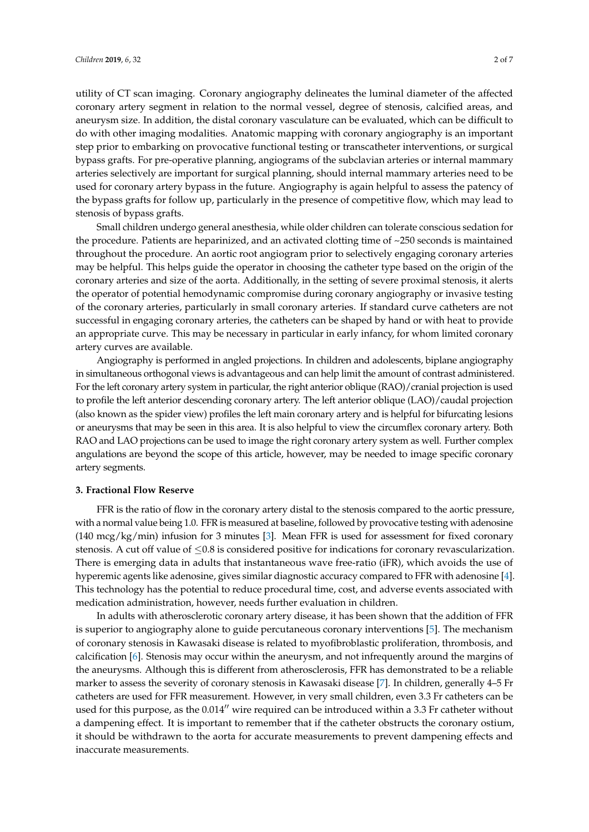utility of CT scan imaging. Coronary angiography delineates the luminal diameter of the affected coronary artery segment in relation to the normal vessel, degree of stenosis, calcified areas, and aneurysm size. In addition, the distal coronary vasculature can be evaluated, which can be difficult to do with other imaging modalities. Anatomic mapping with coronary angiography is an important step prior to embarking on provocative functional testing or transcatheter interventions, or surgical bypass grafts. For pre-operative planning, angiograms of the subclavian arteries or internal mammary arteries selectively are important for surgical planning, should internal mammary arteries need to be used for coronary artery bypass in the future. Angiography is again helpful to assess the patency of the bypass grafts for follow up, particularly in the presence of competitive flow, which may lead to stenosis of bypass grafts.

Small children undergo general anesthesia, while older children can tolerate conscious sedation for the procedure. Patients are heparinized, and an activated clotting time of ~250 seconds is maintained throughout the procedure. An aortic root angiogram prior to selectively engaging coronary arteries may be helpful. This helps guide the operator in choosing the catheter type based on the origin of the coronary arteries and size of the aorta. Additionally, in the setting of severe proximal stenosis, it alerts the operator of potential hemodynamic compromise during coronary angiography or invasive testing of the coronary arteries, particularly in small coronary arteries. If standard curve catheters are not successful in engaging coronary arteries, the catheters can be shaped by hand or with heat to provide an appropriate curve. This may be necessary in particular in early infancy, for whom limited coronary artery curves are available.

Angiography is performed in angled projections. In children and adolescents, biplane angiography in simultaneous orthogonal views is advantageous and can help limit the amount of contrast administered. For the left coronary artery system in particular, the right anterior oblique (RAO)/cranial projection is used to profile the left anterior descending coronary artery. The left anterior oblique (LAO)/caudal projection (also known as the spider view) profiles the left main coronary artery and is helpful for bifurcating lesions or aneurysms that may be seen in this area. It is also helpful to view the circumflex coronary artery. Both RAO and LAO projections can be used to image the right coronary artery system as well. Further complex angulations are beyond the scope of this article, however, may be needed to image specific coronary artery segments.

#### **3. Fractional Flow Reserve**

FFR is the ratio of flow in the coronary artery distal to the stenosis compared to the aortic pressure, with a normal value being 1.0. FFR is measured at baseline, followed by provocative testing with adenosine (140 mcg/kg/min) infusion for 3 minutes [\[3\]](#page-5-2). Mean FFR is used for assessment for fixed coronary stenosis. A cut off value of ≤0.8 is considered positive for indications for coronary revascularization. There is emerging data in adults that instantaneous wave free-ratio (iFR), which avoids the use of hyperemic agents like adenosine, gives similar diagnostic accuracy compared to FFR with adenosine [\[4\]](#page-5-3). This technology has the potential to reduce procedural time, cost, and adverse events associated with medication administration, however, needs further evaluation in children.

In adults with atherosclerotic coronary artery disease, it has been shown that the addition of FFR is superior to angiography alone to guide percutaneous coronary interventions [\[5\]](#page-5-4). The mechanism of coronary stenosis in Kawasaki disease is related to myofibroblastic proliferation, thrombosis, and calcification [\[6\]](#page-5-5). Stenosis may occur within the aneurysm, and not infrequently around the margins of the aneurysms. Although this is different from atherosclerosis, FFR has demonstrated to be a reliable marker to assess the severity of coronary stenosis in Kawasaki disease [\[7\]](#page-5-6). In children, generally 4–5 Fr catheters are used for FFR measurement. However, in very small children, even 3.3 Fr catheters can be used for this purpose, as the  $0.014$ <sup>"</sup> wire required can be introduced within a 3.3 Fr catheter without a dampening effect. It is important to remember that if the catheter obstructs the coronary ostium, it should be withdrawn to the aorta for accurate measurements to prevent dampening effects and inaccurate measurements.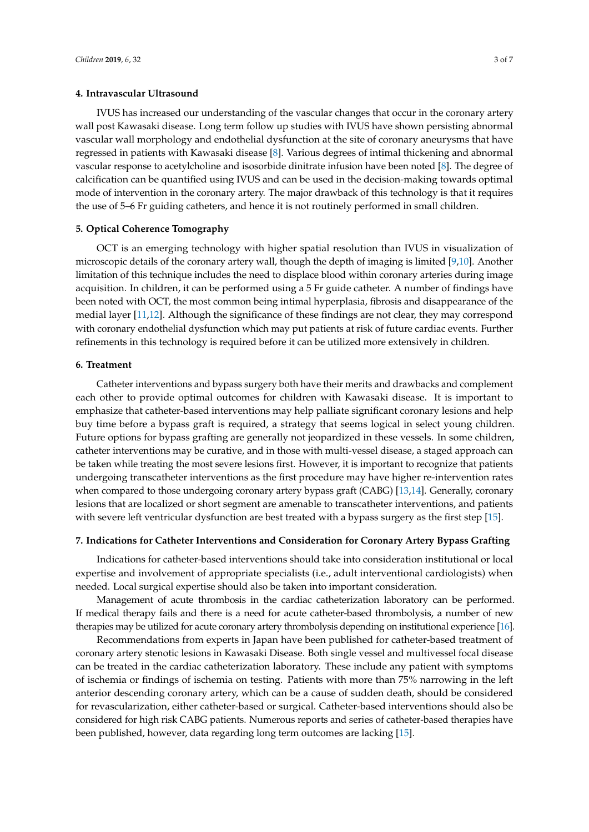#### **4. Intravascular Ultrasound**

IVUS has increased our understanding of the vascular changes that occur in the coronary artery wall post Kawasaki disease. Long term follow up studies with IVUS have shown persisting abnormal vascular wall morphology and endothelial dysfunction at the site of coronary aneurysms that have regressed in patients with Kawasaki disease [\[8\]](#page-5-7). Various degrees of intimal thickening and abnormal vascular response to acetylcholine and isosorbide dinitrate infusion have been noted [\[8\]](#page-5-7). The degree of calcification can be quantified using IVUS and can be used in the decision-making towards optimal mode of intervention in the coronary artery. The major drawback of this technology is that it requires the use of 5–6 Fr guiding catheters, and hence it is not routinely performed in small children.

#### **5. Optical Coherence Tomography**

OCT is an emerging technology with higher spatial resolution than IVUS in visualization of microscopic details of the coronary artery wall, though the depth of imaging is limited [\[9,](#page-5-8)[10\]](#page-5-9). Another limitation of this technique includes the need to displace blood within coronary arteries during image acquisition. In children, it can be performed using a 5 Fr guide catheter. A number of findings have been noted with OCT, the most common being intimal hyperplasia, fibrosis and disappearance of the medial layer [\[11](#page-5-10)[,12\]](#page-6-0). Although the significance of these findings are not clear, they may correspond with coronary endothelial dysfunction which may put patients at risk of future cardiac events. Further refinements in this technology is required before it can be utilized more extensively in children.

#### **6. Treatment**

Catheter interventions and bypass surgery both have their merits and drawbacks and complement each other to provide optimal outcomes for children with Kawasaki disease. It is important to emphasize that catheter-based interventions may help palliate significant coronary lesions and help buy time before a bypass graft is required, a strategy that seems logical in select young children. Future options for bypass grafting are generally not jeopardized in these vessels. In some children, catheter interventions may be curative, and in those with multi-vessel disease, a staged approach can be taken while treating the most severe lesions first. However, it is important to recognize that patients undergoing transcatheter interventions as the first procedure may have higher re-intervention rates when compared to those undergoing coronary artery bypass graft (CABG) [\[13,](#page-6-1)[14\]](#page-6-2). Generally, coronary lesions that are localized or short segment are amenable to transcatheter interventions, and patients with severe left ventricular dysfunction are best treated with a bypass surgery as the first step [\[15\]](#page-6-3).

#### **7. Indications for Catheter Interventions and Consideration for Coronary Artery Bypass Grafting**

Indications for catheter-based interventions should take into consideration institutional or local expertise and involvement of appropriate specialists (i.e., adult interventional cardiologists) when needed. Local surgical expertise should also be taken into important consideration.

Management of acute thrombosis in the cardiac catheterization laboratory can be performed. If medical therapy fails and there is a need for acute catheter-based thrombolysis, a number of new therapies may be utilized for acute coronary artery thrombolysis depending on institutional experience [\[16\]](#page-6-4).

Recommendations from experts in Japan have been published for catheter-based treatment of coronary artery stenotic lesions in Kawasaki Disease. Both single vessel and multivessel focal disease can be treated in the cardiac catheterization laboratory. These include any patient with symptoms of ischemia or findings of ischemia on testing. Patients with more than 75% narrowing in the left anterior descending coronary artery, which can be a cause of sudden death, should be considered for revascularization, either catheter-based or surgical. Catheter-based interventions should also be considered for high risk CABG patients. Numerous reports and series of catheter-based therapies have been published, however, data regarding long term outcomes are lacking [\[15\]](#page-6-3).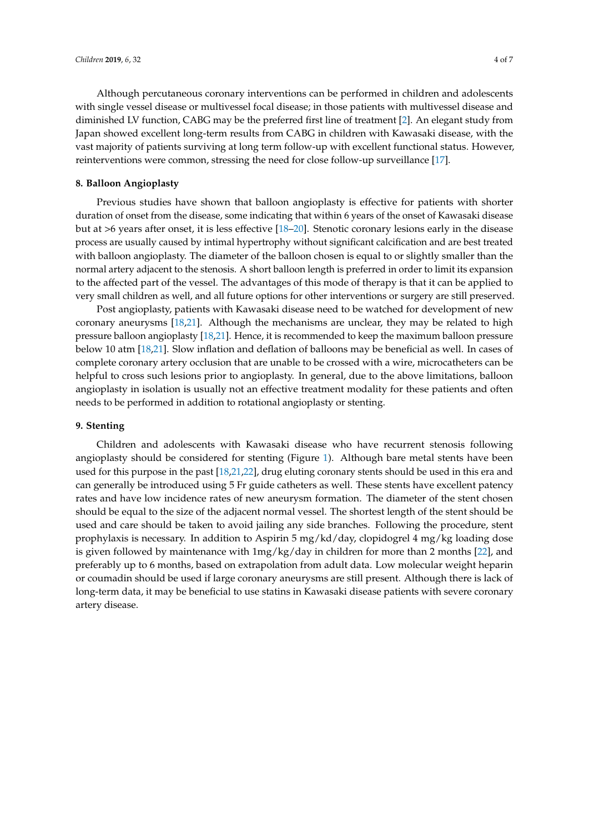Although percutaneous coronary interventions can be performed in children and adolescents with single vessel disease or multivessel focal disease; in those patients with multivessel disease and diminished LV function, CABG may be the preferred first line of treatment [\[2\]](#page-5-1). An elegant study from Japan showed excellent long-term results from CABG in children with Kawasaki disease, with the vast majority of patients surviving at long term follow-up with excellent functional status. However, reinterventions were common, stressing the need for close follow-up surveillance [\[17\]](#page-6-5).

#### **8. Balloon Angioplasty**

Previous studies have shown that balloon angioplasty is effective for patients with shorter duration of onset from the disease, some indicating that within 6 years of the onset of Kawasaki disease but at >6 years after onset, it is less effective [\[18–](#page-6-6)[20\]](#page-6-7). Stenotic coronary lesions early in the disease process are usually caused by intimal hypertrophy without significant calcification and are best treated with balloon angioplasty. The diameter of the balloon chosen is equal to or slightly smaller than the normal artery adjacent to the stenosis. A short balloon length is preferred in order to limit its expansion to the affected part of the vessel. The advantages of this mode of therapy is that it can be applied to very small children as well, and all future options for other interventions or surgery are still preserved.

Post angioplasty, patients with Kawasaki disease need to be watched for development of new coronary aneurysms [\[18](#page-6-6)[,21\]](#page-6-8). Although the mechanisms are unclear, they may be related to high pressure balloon angioplasty [\[18,](#page-6-6)[21\]](#page-6-8). Hence, it is recommended to keep the maximum balloon pressure below 10 atm [\[18,](#page-6-6)[21\]](#page-6-8). Slow inflation and deflation of balloons may be beneficial as well. In cases of complete coronary artery occlusion that are unable to be crossed with a wire, microcatheters can be helpful to cross such lesions prior to angioplasty. In general, due to the above limitations, balloon angioplasty in isolation is usually not an effective treatment modality for these patients and often needs to be performed in addition to rotational angioplasty or stenting.

#### **9. Stenting**

Children and adolescents with Kawasaki disease who have recurrent stenosis following angioplasty should be considered for stenting (Figure [1\)](#page-4-0). Although bare metal stents have been used for this purpose in the past [\[18](#page-6-6)[,21](#page-6-8)[,22\]](#page-6-9), drug eluting coronary stents should be used in this era and can generally be introduced using 5 Fr guide catheters as well. These stents have excellent patency rates and have low incidence rates of new aneurysm formation. The diameter of the stent chosen should be equal to the size of the adjacent normal vessel. The shortest length of the stent should be used and care should be taken to avoid jailing any side branches. Following the procedure, stent prophylaxis is necessary. In addition to Aspirin 5 mg/kd/day, clopidogrel 4 mg/kg loading dose is given followed by maintenance with 1mg/kg/day in children for more than 2 months [\[22\]](#page-6-9), and preferably up to 6 months, based on extrapolation from adult data. Low molecular weight heparin or coumadin should be used if large coronary aneurysms are still present. Although there is lack of long-term data, it may be beneficial to use statins in Kawasaki disease patients with severe coronary artery disease.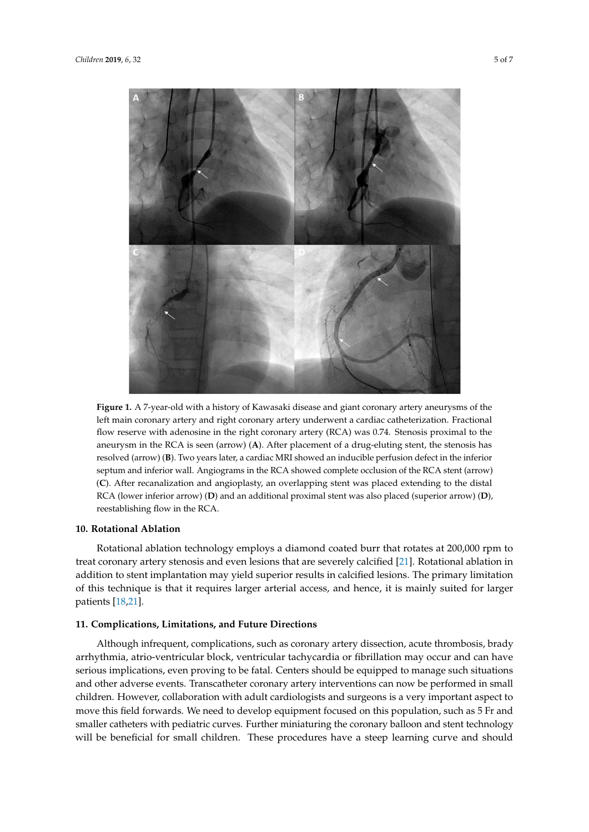<span id="page-4-0"></span>

**Figure 1.** A 7-year-old with a history of Kawasaki disease and giant coronary artery aneurysms of the **Figure 1.** A 7-year-old with a history of Kawasaki disease and giant coronary artery aneurysms of the<br>left main coronary artery and right coronary artery underwent a cardiac catheterization. Fractional flow reserve with adenosine in the right coronary artery (RCA) was 0.74. Stenosis proximal to the flow reserve with adenosine in the right coronary artery (RCA) was 0.74. Stenosis proximal to the aneurysm in the RCA is seen (arrow) (**A**). After placement of a drug-eluting stent, the stenosis has aneurysm in the RCA is seen (arrow) (**A**). After placement of a drug-eluting stent, the stenosis has resolved (arrow) (**B**). Two years later, a cardiac MRI showed an inducible perfusion defect in the resolved (arrow) (**B**). Two years later, a cardiac MRI showed an inducible perfusion defect in the inferior inferior septum and inferior wall. Angiograms in the RCA showed complete occlusion of the RCA septum and inferior wall. Angiograms in the RCA showed complete occlusion of the RCA stent (arrow) (C). After recanalization and angioplasty, an overlapping stent was placed extending to the distal RCA (lower inferior arrow) (**D**) and an additional proximal stent was also placed (superior arrow) (**D**), reestablishing flow in the RCA.

# **10. Rotational Ablation 10. Rotational Ablation**

Rotational ablation technology employs a diamond coated burr that rotates at 200,000 rpm to treat coronary artery stenosis and even lesions that are severely calcified [\[21\]](#page-6-8). Rotational ablation in addition to stent implantation may yield superior results in calcified lesions. The primary limitation addition to stent implantation may yield superior results in calcified lesions. The primary limitation addition to stent implantation may yield superior results in calcified lesions. The primary limitation of this technique is that it requires larger arterial access, and hence, it is mainly suited for larger is that it requires larger arterial access, and hence, it is mainly suited for larger patients [18,21]. patients [\[18,](#page-6-6)[21\]](#page-6-8). Rotational ablation technology employs a diamond coated burr that rotates at 200,000 rpm to

#### **11. Complications, Limitations, and Future Directions 11. Complications, Limitations, and Future Directions**

arrhythmia, atrio-ventricular block, ventricular tachycardia or fibrillation may occur and can have serious implications, even proving to be fatal. Centers should be equipped to manage such situations and other adverse events. Transcatheter coronary artery interventions can now be performed in small children. However, collaboration with adult cardiologists and surgeons is a very important aspect to move this field forwards. We need to develop equipment focused on this population, such as 5 Fr and smaller catheters with pediatric curves. Further miniaturing the coronary balloon and stent technology will be beneficial for small children. These procedures have a steep learning curve and should will be beneficial for small children. These procedures have a steep learning curve and should Although infrequent, complications, such as coronary artery dissection, acute thrombosis, brady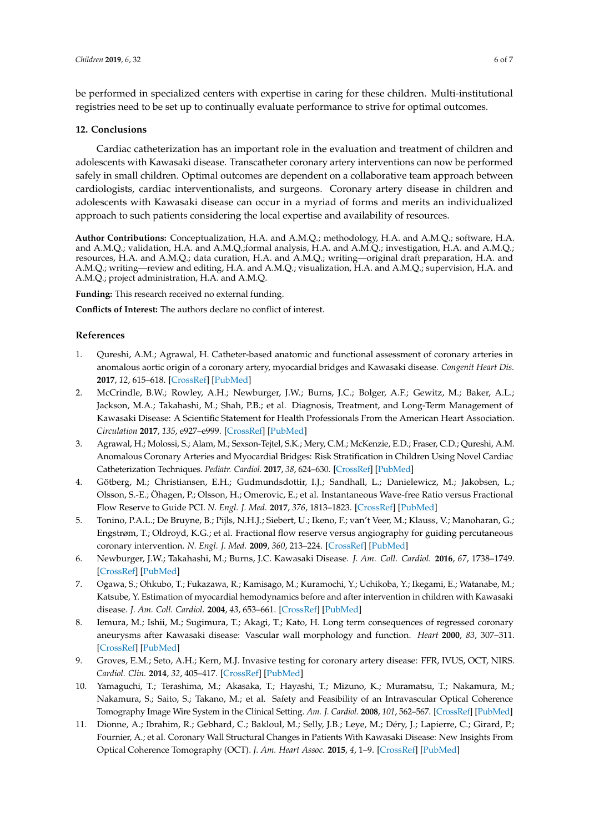be performed in specialized centers with expertise in caring for these children. Multi-institutional registries need to be set up to continually evaluate performance to strive for optimal outcomes.

#### **12. Conclusions**

Cardiac catheterization has an important role in the evaluation and treatment of children and adolescents with Kawasaki disease. Transcatheter coronary artery interventions can now be performed safely in small children. Optimal outcomes are dependent on a collaborative team approach between cardiologists, cardiac interventionalists, and surgeons. Coronary artery disease in children and adolescents with Kawasaki disease can occur in a myriad of forms and merits an individualized approach to such patients considering the local expertise and availability of resources.

**Author Contributions:** Conceptualization, H.A. and A.M.Q.; methodology, H.A. and A.M.Q.; software, H.A. and A.M.Q.; validation, H.A. and A.M.Q.;formal analysis, H.A. and A.M.Q.; investigation, H.A. and A.M.Q.; resources, H.A. and A.M.Q.; data curation, H.A. and A.M.Q.; writing—original draft preparation, H.A. and A.M.Q.; writing—review and editing, H.A. and A.M.Q.; visualization, H.A. and A.M.Q.; supervision, H.A. and A.M.Q.; project administration, H.A. and A.M.Q.

**Funding:** This research received no external funding.

**Conflicts of Interest:** The authors declare no conflict of interest.

#### **References**

- <span id="page-5-0"></span>1. Qureshi, A.M.; Agrawal, H. Catheter-based anatomic and functional assessment of coronary arteries in anomalous aortic origin of a coronary artery, myocardial bridges and Kawasaki disease. *Congenit Heart Dis.* **2017**, *12*, 615–618. [\[CrossRef\]](http://dx.doi.org/10.1111/chd.12500) [\[PubMed\]](http://www.ncbi.nlm.nih.gov/pubmed/28608519)
- <span id="page-5-1"></span>2. McCrindle, B.W.; Rowley, A.H.; Newburger, J.W.; Burns, J.C.; Bolger, A.F.; Gewitz, M.; Baker, A.L.; Jackson, M.A.; Takahashi, M.; Shah, P.B.; et al. Diagnosis, Treatment, and Long-Term Management of Kawasaki Disease: A Scientific Statement for Health Professionals From the American Heart Association. *Circulation* **2017**, *135*, e927–e999. [\[CrossRef\]](http://dx.doi.org/10.1161/CIR.0000000000000484) [\[PubMed\]](http://www.ncbi.nlm.nih.gov/pubmed/28356445)
- <span id="page-5-2"></span>3. Agrawal, H.; Molossi, S.; Alam, M.; Sexson-Tejtel, S.K.; Mery, C.M.; McKenzie, E.D.; Fraser, C.D.; Qureshi, A.M. Anomalous Coronary Arteries and Myocardial Bridges: Risk Stratification in Children Using Novel Cardiac Catheterization Techniques. *Pediatr. Cardiol.* **2017**, *38*, 624–630. [\[CrossRef\]](http://dx.doi.org/10.1007/s00246-016-1559-4) [\[PubMed\]](http://www.ncbi.nlm.nih.gov/pubmed/28214966)
- <span id="page-5-3"></span>4. Götberg, M.; Christiansen, E.H.; Gudmundsdottir, I.J.; Sandhall, L.; Danielewicz, M.; Jakobsen, L.; Olsson, S.-E.; Öhagen, P.; Olsson, H.; Omerovic, E.; et al. Instantaneous Wave-free Ratio versus Fractional Flow Reserve to Guide PCI. *N. Engl. J. Med.* **2017**, *376*, 1813–1823. [\[CrossRef\]](http://dx.doi.org/10.1056/NEJMoa1616540) [\[PubMed\]](http://www.ncbi.nlm.nih.gov/pubmed/28317438)
- <span id="page-5-4"></span>5. Tonino, P.A.L.; De Bruyne, B.; Pijls, N.H.J.; Siebert, U.; Ikeno, F.; van't Veer, M.; Klauss, V.; Manoharan, G.; Engstrøm, T.; Oldroyd, K.G.; et al. Fractional flow reserve versus angiography for guiding percutaneous coronary intervention. *N. Engl. J. Med.* **2009**, *360*, 213–224. [\[CrossRef\]](http://dx.doi.org/10.1056/NEJMoa0807611) [\[PubMed\]](http://www.ncbi.nlm.nih.gov/pubmed/19144937)
- <span id="page-5-5"></span>6. Newburger, J.W.; Takahashi, M.; Burns, J.C. Kawasaki Disease. *J. Am. Coll. Cardiol.* **2016**, *67*, 1738–1749. [\[CrossRef\]](http://dx.doi.org/10.1016/j.jacc.2015.12.073) [\[PubMed\]](http://www.ncbi.nlm.nih.gov/pubmed/27056781)
- <span id="page-5-6"></span>7. Ogawa, S.; Ohkubo, T.; Fukazawa, R.; Kamisago, M.; Kuramochi, Y.; Uchikoba, Y.; Ikegami, E.; Watanabe, M.; Katsube, Y. Estimation of myocardial hemodynamics before and after intervention in children with Kawasaki disease. *J. Am. Coll. Cardiol.* **2004**, *43*, 653–661. [\[CrossRef\]](http://dx.doi.org/10.1016/j.jacc.2003.10.032) [\[PubMed\]](http://www.ncbi.nlm.nih.gov/pubmed/14975478)
- <span id="page-5-7"></span>8. Iemura, M.; Ishii, M.; Sugimura, T.; Akagi, T.; Kato, H. Long term consequences of regressed coronary aneurysms after Kawasaki disease: Vascular wall morphology and function. *Heart* **2000**, *83*, 307–311. [\[CrossRef\]](http://dx.doi.org/10.1136/heart.83.3.307) [\[PubMed\]](http://www.ncbi.nlm.nih.gov/pubmed/10677411)
- <span id="page-5-8"></span>9. Groves, E.M.; Seto, A.H.; Kern, M.J. Invasive testing for coronary artery disease: FFR, IVUS, OCT, NIRS. *Cardiol. Clin.* **2014**, *32*, 405–417. [\[CrossRef\]](http://dx.doi.org/10.1016/j.ccl.2014.04.005) [\[PubMed\]](http://www.ncbi.nlm.nih.gov/pubmed/25091966)
- <span id="page-5-9"></span>10. Yamaguchi, T.; Terashima, M.; Akasaka, T.; Hayashi, T.; Mizuno, K.; Muramatsu, T.; Nakamura, M.; Nakamura, S.; Saito, S.; Takano, M.; et al. Safety and Feasibility of an Intravascular Optical Coherence Tomography Image Wire System in the Clinical Setting. *Am. J. Cardiol.* **2008**, *101*, 562–567. [\[CrossRef\]](http://dx.doi.org/10.1016/j.amjcard.2007.09.116) [\[PubMed\]](http://www.ncbi.nlm.nih.gov/pubmed/18307999)
- <span id="page-5-10"></span>11. Dionne, A.; Ibrahim, R.; Gebhard, C.; Bakloul, M.; Selly, J.B.; Leye, M.; Déry, J.; Lapierre, C.; Girard, P.; Fournier, A.; et al. Coronary Wall Structural Changes in Patients With Kawasaki Disease: New Insights From Optical Coherence Tomography (OCT). *J. Am. Heart Assoc.* **2015**, *4*, 1–9. [\[CrossRef\]](http://dx.doi.org/10.1161/JAHA.115.001939) [\[PubMed\]](http://www.ncbi.nlm.nih.gov/pubmed/25991013)